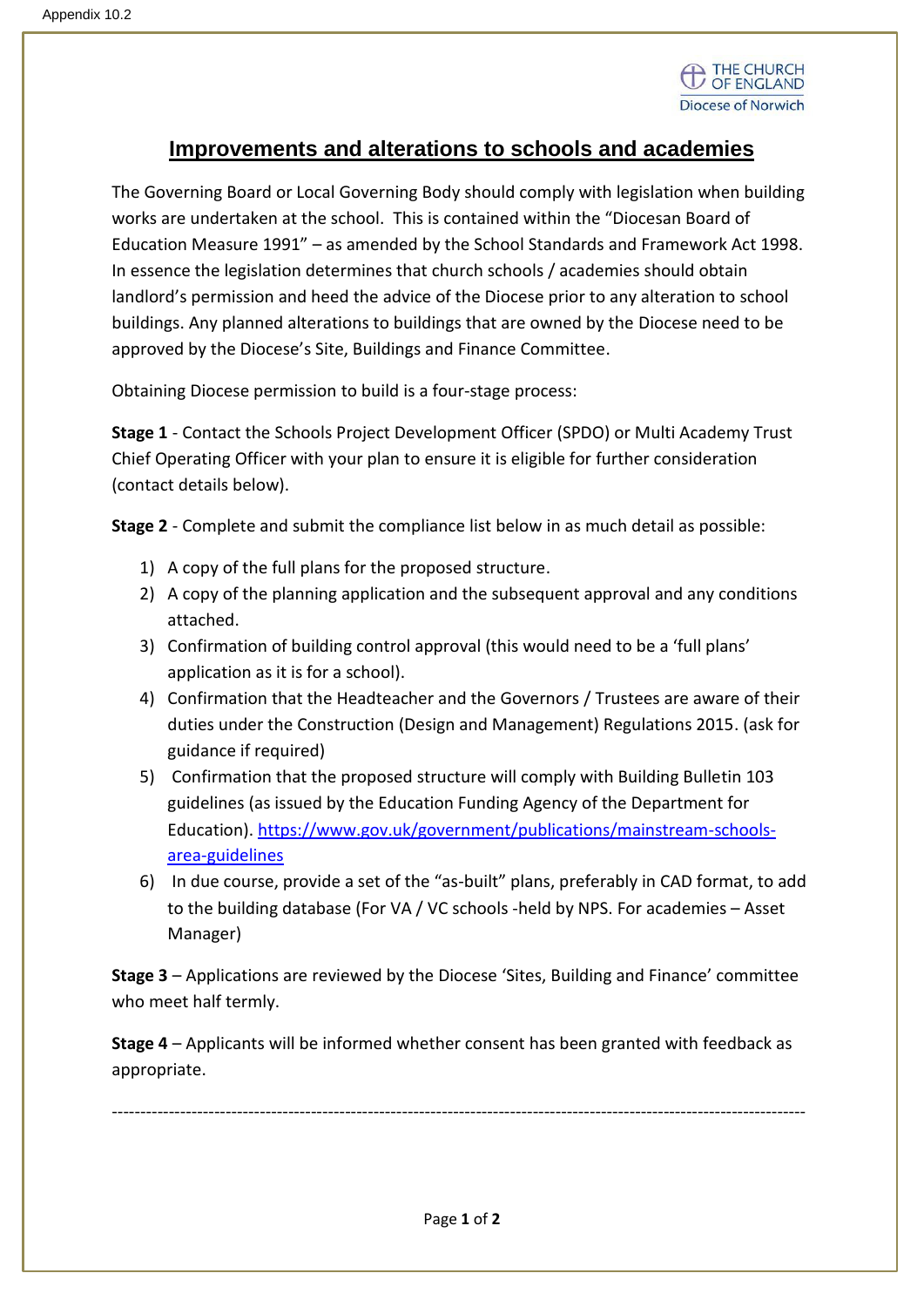

## **Improvements and alterations to schools and academies**

The Governing Board or Local Governing Body should comply with legislation when building works are undertaken at the school. This is contained within the "Diocesan Board of Education Measure 1991" – as amended by the School Standards and Framework Act 1998. In essence the legislation determines that church schools / academies should obtain landlord's permission and heed the advice of the Diocese prior to any alteration to school buildings. Any planned alterations to buildings that are owned by the Diocese need to be approved by the Diocese's Site, Buildings and Finance Committee.

Obtaining Diocese permission to build is a four-stage process:

**Stage 1** - Contact the Schools Project Development Officer (SPDO) or Multi Academy Trust Chief Operating Officer with your plan to ensure it is eligible for further consideration (contact details below).

**Stage 2** - Complete and submit the compliance list below in as much detail as possible:

- 1) A copy of the full plans for the proposed structure.
- 2) A copy of the planning application and the subsequent approval and any conditions attached.
- 3) Confirmation of building control approval (this would need to be a 'full plans' application as it is for a school).
- 4) Confirmation that the Headteacher and the Governors / Trustees are aware of their duties under the Construction (Design and Management) Regulations 2015. (ask for guidance if required)
- 5) Confirmation that the proposed structure will comply with Building Bulletin 103 guidelines (as issued by the Education Funding Agency of the Department for Education). [https://www.gov.uk/government/publications/mainstream-schools](https://www.gov.uk/government/publications/mainstream-schools-area-guidelines)[area-guidelines](https://www.gov.uk/government/publications/mainstream-schools-area-guidelines)
- 6) In due course, provide a set of the "as-built" plans, preferably in CAD format, to add to the building database (For VA / VC schools -held by NPS. For academies – Asset Manager)

**Stage 3** – Applications are reviewed by the Diocese 'Sites, Building and Finance' committee who meet half termly.

**Stage 4** – Applicants will be informed whether consent has been granted with feedback as appropriate.

--------------------------------------------------------------------------------------------------------------------------